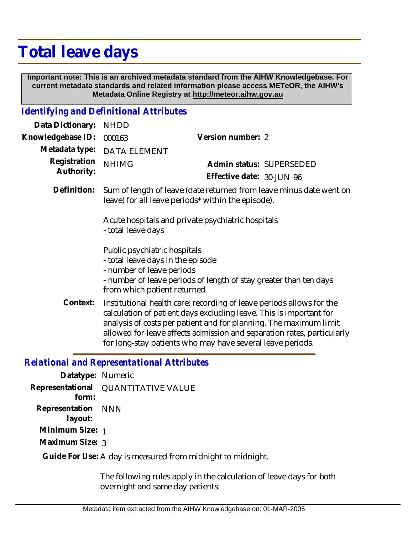## **Total leave days**

 **Important note: This is an archived metadata standard from the AIHW Knowledgebase. For current metadata standards and related information please access METeOR, the AIHW's Metadata Online Registry at http://meteor.aihw.gov.au**

## *Identifying and Definitional Attributes*

| Data Dictionary:                           | <b>NHDD</b>                                                                                                                                                                                                                                                                                                                                             |                                                       |
|--------------------------------------------|---------------------------------------------------------------------------------------------------------------------------------------------------------------------------------------------------------------------------------------------------------------------------------------------------------------------------------------------------------|-------------------------------------------------------|
| Knowledgebase ID:                          | 000163                                                                                                                                                                                                                                                                                                                                                  | Version number: 2                                     |
| Metadata type:                             | <b>DATA ELEMENT</b>                                                                                                                                                                                                                                                                                                                                     |                                                       |
| Registration<br>Authority:                 | <b>NHIMG</b>                                                                                                                                                                                                                                                                                                                                            | Admin status: SUPERSEDED<br>Effective date: 30-JUN-96 |
| Definition:                                | Sum of length of leave (date returned from leave minus date went on<br>leave) for all leave periods* within the episode).                                                                                                                                                                                                                               |                                                       |
|                                            | Acute hospitals and private psychiatric hospitals<br>- total leave days                                                                                                                                                                                                                                                                                 |                                                       |
|                                            | Public psychiatric hospitals<br>- total leave days in the episode<br>- number of leave periods<br>- number of leave periods of length of stay greater than ten days<br>from which patient returned                                                                                                                                                      |                                                       |
| Context:                                   | Institutional health care: recording of leave periods allows for the<br>calculation of patient days excluding leave. This is important for<br>analysis of costs per patient and for planning. The maximum limit<br>allowed for leave affects admission and separation rates, particularly<br>for long-stay patients who may have several leave periods. |                                                       |
| Delational and Depresentational Attributes |                                                                                                                                                                                                                                                                                                                                                         |                                                       |

## *Relational and Representational Attributes*

**Datatype:** Numeric **Representational** QUANTITATIVE VALUE  **form: Representation** NNN  **layout: Minimum Size:** 1 **Maximum Size:** 3

Guide For Use: A day is measured from midnight to midnight.

The following rules apply in the calculation of leave days for both overnight and same day patients: